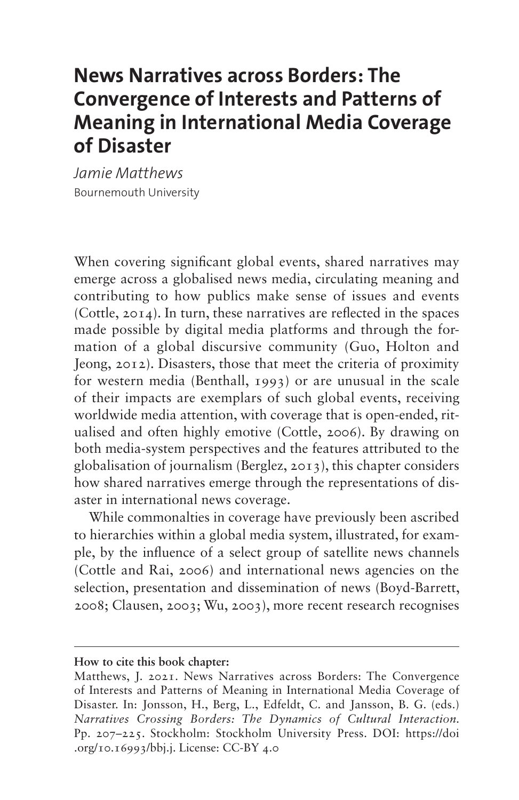# **News Narratives across Borders: The Convergence of Interests and Patterns of Meaning in International Media Coverage of Disaster**

*Jamie Matthews* Bournemouth University

When covering significant global events, shared narratives may emerge across a globalised news media, circulating meaning and contributing to how publics make sense of issues and events (Cottle, 2014). In turn, these narratives are reflected in the spaces made possible by digital media platforms and through the formation of a global discursive community (Guo, Holton and Jeong, 2012). Disasters, those that meet the criteria of proximity for western media (Benthall, 1993) or are unusual in the scale of their impacts are exemplars of such global events, receiving worldwide media attention, with coverage that is open-ended, ritualised and often highly emotive (Cottle, 2006). By drawing on both media-system perspectives and the features attributed to the globalisation of journalism (Berglez, 2013), this chapter considers how shared narratives emerge through the representations of disaster in international news coverage.

While commonalties in coverage have previously been ascribed to hierarchies within a global media system, illustrated, for example, by the influence of a select group of satellite news channels (Cottle and Rai, 2006) and international news agencies on the selection, presentation and dissemination of news (Boyd-Barrett, 2008; Clausen, 2003; Wu, 2003), more recent research recognises

**How to cite this book chapter:**

Matthews, J. 2021. News Narratives across Borders: The Convergence of Interests and Patterns of Meaning in International Media Coverage of Disaster. In: Jonsson, H., Berg, L., Edfeldt, C. and Jansson, B. G. (eds.) *Narratives Crossing Borders: The Dynamics of Cultural Interaction.*  Pp. 207–225. Stockholm: Stockholm University Press. DOI: [https://doi](https://doi.org/10.16993/bbj.j) [.org/10.16993/bbj.j](https://doi.org/10.16993/bbj.j). License: CC-BY 4.0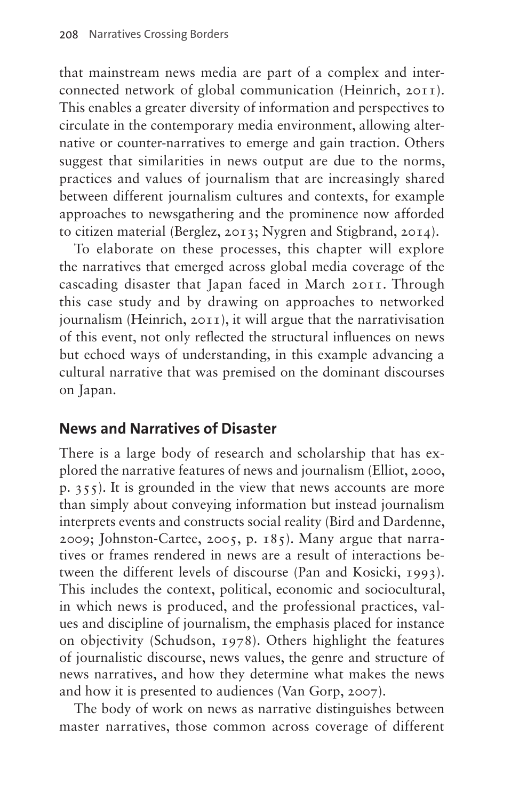that mainstream news media are part of a complex and interconnected network of global communication (Heinrich, 2011). This enables a greater diversity of information and perspectives to circulate in the contemporary media environment, allowing alternative or counter-narratives to emerge and gain traction. Others suggest that similarities in news output are due to the norms, practices and values of journalism that are increasingly shared between different journalism cultures and contexts, for example approaches to newsgathering and the prominence now afforded to citizen material (Berglez, 2013; Nygren and Stigbrand, 2014).

To elaborate on these processes, this chapter will explore the narratives that emerged across global media coverage of the cascading disaster that Japan faced in March 2011. Through this case study and by drawing on approaches to networked journalism (Heinrich, 2011), it will argue that the narrativisation of this event, not only reflected the structural influences on news but echoed ways of understanding, in this example advancing a cultural narrative that was premised on the dominant discourses on Japan.

## **News and Narratives of Disaster**

There is a large body of research and scholarship that has explored the narrative features of news and journalism (Elliot, 2000, p. 355). It is grounded in the view that news accounts are more than simply about conveying information but instead journalism interprets events and constructs social reality (Bird and Dardenne, 2009; Johnston-Cartee, 2005, p. 185). Many argue that narratives or frames rendered in news are a result of interactions between the different levels of discourse (Pan and Kosicki, 1993). This includes the context, political, economic and sociocultural, in which news is produced, and the professional practices, values and discipline of journalism, the emphasis placed for instance on objectivity (Schudson, 1978). Others highlight the features of journalistic discourse, news values, the genre and structure of news narratives, and how they determine what makes the news and how it is presented to audiences (Van Gorp, 2007).

The body of work on news as narrative distinguishes between master narratives, those common across coverage of different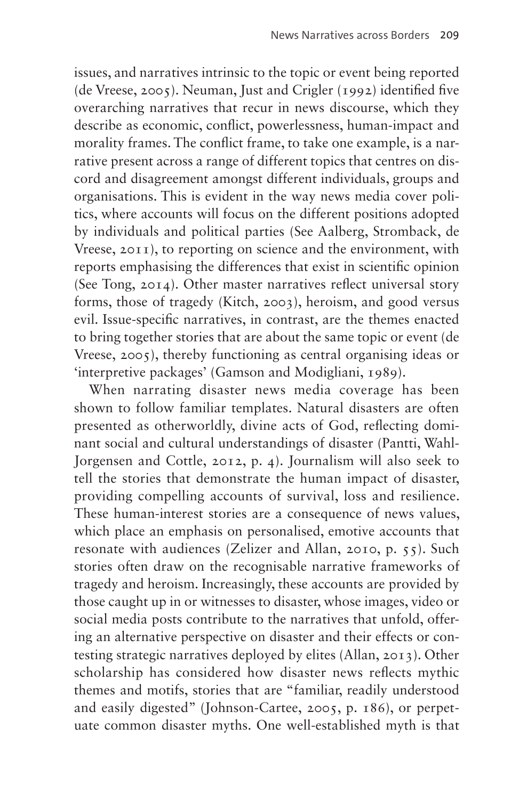issues, and narratives intrinsic to the topic or event being reported (de Vreese, 2005). Neuman, Just and Crigler (1992) identified five overarching narratives that recur in news discourse, which they describe as economic, conflict, powerlessness, human-impact and morality frames. The conflict frame, to take one example, is a narrative present across a range of different topics that centres on discord and disagreement amongst different individuals, groups and organisations. This is evident in the way news media cover politics, where accounts will focus on the different positions adopted by individuals and political parties (See Aalberg, Stromback, de Vreese, 2011), to reporting on science and the environment, with reports emphasising the differences that exist in scientific opinion (See Tong, 2014). Other master narratives reflect universal story forms, those of tragedy (Kitch, 2003), heroism, and good versus evil. Issue-specific narratives, in contrast, are the themes enacted to bring together stories that are about the same topic or event (de Vreese, 2005), thereby functioning as central organising ideas or 'interpretive packages' (Gamson and Modigliani, 1989).

When narrating disaster news media coverage has been shown to follow familiar templates. Natural disasters are often presented as otherworldly, divine acts of God, reflecting dominant social and cultural understandings of disaster (Pantti, Wahl-Jorgensen and Cottle, 2012, p. 4). Journalism will also seek to tell the stories that demonstrate the human impact of disaster, providing compelling accounts of survival, loss and resilience. These human-interest stories are a consequence of news values, which place an emphasis on personalised, emotive accounts that resonate with audiences (Zelizer and Allan, 2010, p. 55). Such stories often draw on the recognisable narrative frameworks of tragedy and heroism. Increasingly, these accounts are provided by those caught up in or witnesses to disaster, whose images, video or social media posts contribute to the narratives that unfold, offering an alternative perspective on disaster and their effects or contesting strategic narratives deployed by elites (Allan, 2013). Other scholarship has considered how disaster news reflects mythic themes and motifs, stories that are "familiar, readily understood and easily digested" (Johnson-Cartee, 2005, p. 186), or perpetuate common disaster myths. One well-established myth is that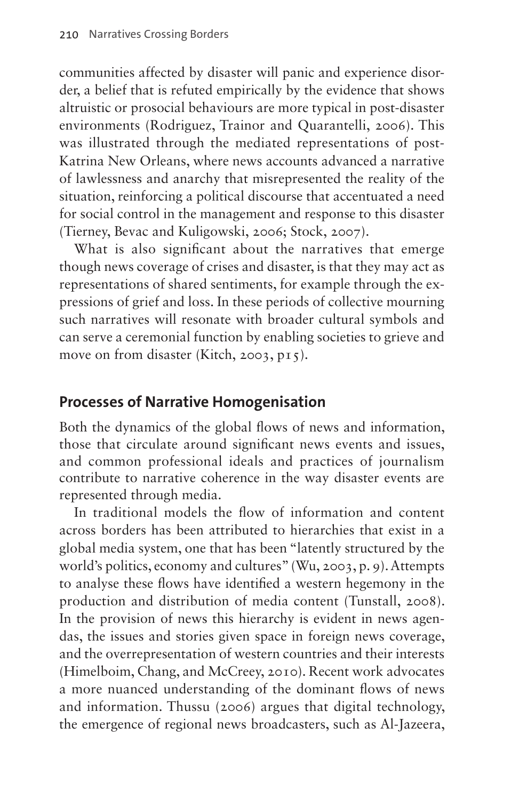communities affected by disaster will panic and experience disorder, a belief that is refuted empirically by the evidence that shows altruistic or prosocial behaviours are more typical in post-disaster environments (Rodriguez, Trainor and Quarantelli, 2006). This was illustrated through the mediated representations of post-Katrina New Orleans, where news accounts advanced a narrative of lawlessness and anarchy that misrepresented the reality of the situation, reinforcing a political discourse that accentuated a need for social control in the management and response to this disaster (Tierney, Bevac and Kuligowski, 2006; Stock, 2007).

What is also significant about the narratives that emerge though news coverage of crises and disaster, is that they may act as representations of shared sentiments, for example through the expressions of grief and loss. In these periods of collective mourning such narratives will resonate with broader cultural symbols and can serve a ceremonial function by enabling societies to grieve and move on from disaster (Kitch, 2003, p15).

#### **Processes of Narrative Homogenisation**

Both the dynamics of the global flows of news and information, those that circulate around significant news events and issues, and common professional ideals and practices of journalism contribute to narrative coherence in the way disaster events are represented through media.

In traditional models the flow of information and content across borders has been attributed to hierarchies that exist in a global media system, one that has been "latently structured by the world's politics, economy and cultures" (Wu, 2003, p. 9). Attempts to analyse these flows have identified a western hegemony in the production and distribution of media content (Tunstall, 2008). In the provision of news this hierarchy is evident in news agendas, the issues and stories given space in foreign news coverage, and the overrepresentation of western countries and their interests (Himelboim, Chang, and McCreey, 2010). Recent work advocates a more nuanced understanding of the dominant flows of news and information. Thussu (2006) argues that digital technology, the emergence of regional news broadcasters, such as Al-Jazeera,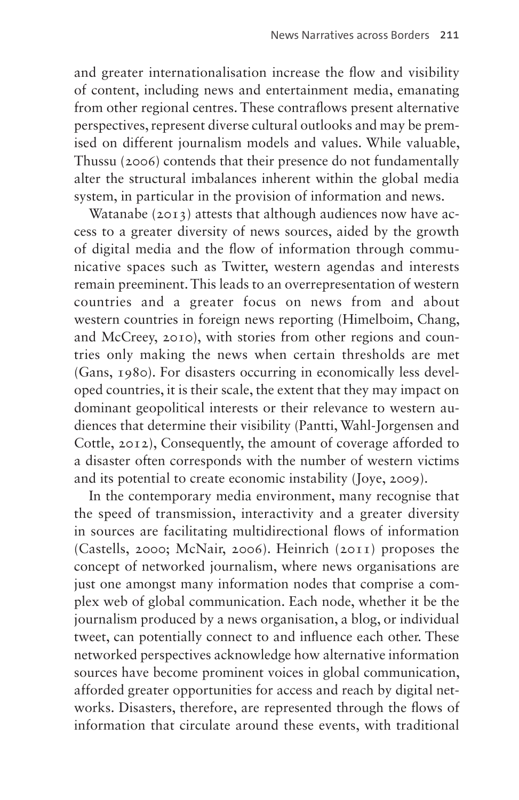and greater internationalisation increase the flow and visibility of content, including news and entertainment media, emanating from other regional centres. These contraflows present alternative perspectives, represent diverse cultural outlooks and may be premised on different journalism models and values. While valuable, Thussu (2006) contends that their presence do not fundamentally alter the structural imbalances inherent within the global media system, in particular in the provision of information and news.

Watanabe (2013) attests that although audiences now have access to a greater diversity of news sources, aided by the growth of digital media and the flow of information through communicative spaces such as Twitter, western agendas and interests remain preeminent. This leads to an overrepresentation of western countries and a greater focus on news from and about western countries in foreign news reporting (Himelboim, Chang, and McCreey, 2010), with stories from other regions and countries only making the news when certain thresholds are met (Gans, 1980). For disasters occurring in economically less developed countries, it is their scale, the extent that they may impact on dominant geopolitical interests or their relevance to western audiences that determine their visibility (Pantti, Wahl-Jorgensen and Cottle, 2012), Consequently, the amount of coverage afforded to a disaster often corresponds with the number of western victims and its potential to create economic instability (Joye, 2009).

In the contemporary media environment, many recognise that the speed of transmission, interactivity and a greater diversity in sources are facilitating multidirectional flows of information (Castells, 2000; McNair, 2006). Heinrich (2011) proposes the concept of networked journalism, where news organisations are just one amongst many information nodes that comprise a complex web of global communication. Each node, whether it be the journalism produced by a news organisation, a blog, or individual tweet, can potentially connect to and influence each other. These networked perspectives acknowledge how alternative information sources have become prominent voices in global communication, afforded greater opportunities for access and reach by digital networks. Disasters, therefore, are represented through the flows of information that circulate around these events, with traditional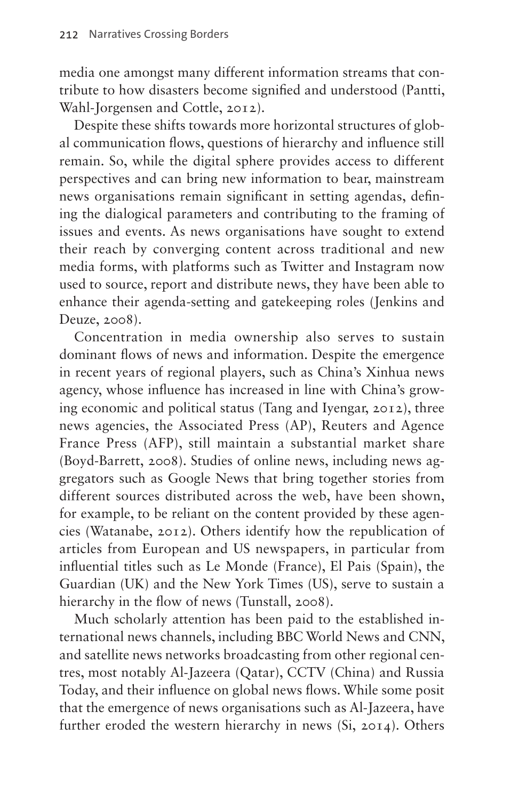media one amongst many different information streams that contribute to how disasters become signified and understood (Pantti, Wahl-Jorgensen and Cottle, 2012).

Despite these shifts towards more horizontal structures of global communication flows, questions of hierarchy and influence still remain. So, while the digital sphere provides access to different perspectives and can bring new information to bear, mainstream news organisations remain significant in setting agendas, defining the dialogical parameters and contributing to the framing of issues and events. As news organisations have sought to extend their reach by converging content across traditional and new media forms, with platforms such as Twitter and Instagram now used to source, report and distribute news, they have been able to enhance their agenda-setting and gatekeeping roles (Jenkins and Deuze, 2008).

Concentration in media ownership also serves to sustain dominant flows of news and information. Despite the emergence in recent years of regional players, such as China's Xinhua news agency, whose influence has increased in line with China's growing economic and political status (Tang and Iyengar, 2012), three news agencies, the Associated Press (AP), Reuters and Agence France Press (AFP), still maintain a substantial market share (Boyd-Barrett, 2008). Studies of online news, including news aggregators such as Google News that bring together stories from different sources distributed across the web, have been shown, for example, to be reliant on the content provided by these agencies (Watanabe, 2012). Others identify how the republication of articles from European and US newspapers, in particular from influential titles such as Le Monde (France), El Pais (Spain), the Guardian (UK) and the New York Times (US), serve to sustain a hierarchy in the flow of news (Tunstall, 2008).

Much scholarly attention has been paid to the established international news channels, including BBC World News and CNN, and satellite news networks broadcasting from other regional centres, most notably Al-Jazeera (Qatar), CCTV (China) and Russia Today, and their influence on global news flows. While some posit that the emergence of news organisations such as Al-Jazeera, have further eroded the western hierarchy in news (Si, 2014). Others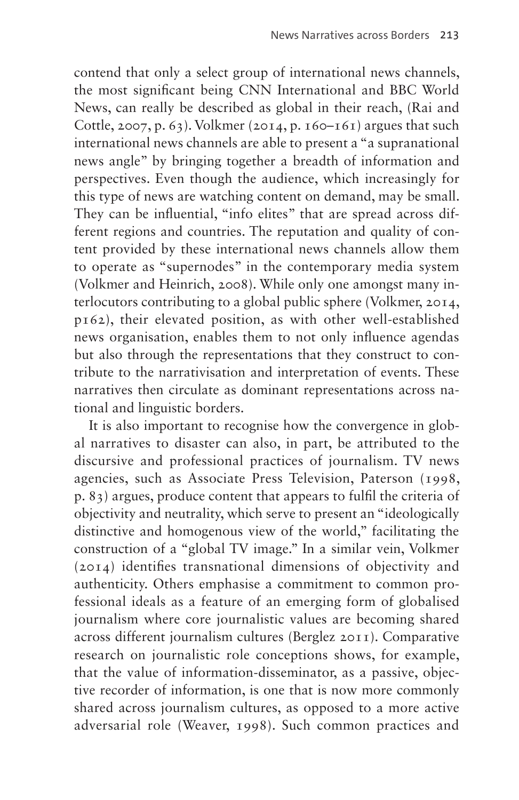contend that only a select group of international news channels, the most significant being CNN International and BBC World News, can really be described as global in their reach, (Rai and Cottle, 2007, p. 63). Volkmer (2014, p. 160–161) argues that such international news channels are able to present a "a supranational news angle" by bringing together a breadth of information and perspectives. Even though the audience, which increasingly for this type of news are watching content on demand, may be small. They can be influential, "info elites" that are spread across different regions and countries. The reputation and quality of content provided by these international news channels allow them to operate as "supernodes" in the contemporary media system (Volkmer and Heinrich, 2008). While only one amongst many interlocutors contributing to a global public sphere (Volkmer, 2014, p162), their elevated position, as with other well-established news organisation, enables them to not only influence agendas but also through the representations that they construct to contribute to the narrativisation and interpretation of events. These narratives then circulate as dominant representations across national and linguistic borders.

It is also important to recognise how the convergence in global narratives to disaster can also, in part, be attributed to the discursive and professional practices of journalism. TV news agencies, such as Associate Press Television, Paterson (1998, p. 83) argues, produce content that appears to fulfil the criteria of objectivity and neutrality, which serve to present an "ideologically distinctive and homogenous view of the world," facilitating the construction of a "global TV image." In a similar vein, Volkmer (2014) identifies transnational dimensions of objectivity and authenticity. Others emphasise a commitment to common professional ideals as a feature of an emerging form of globalised journalism where core journalistic values are becoming shared across different journalism cultures (Berglez 2011). Comparative research on journalistic role conceptions shows, for example, that the value of information-disseminator, as a passive, objective recorder of information, is one that is now more commonly shared across journalism cultures, as opposed to a more active adversarial role (Weaver, 1998). Such common practices and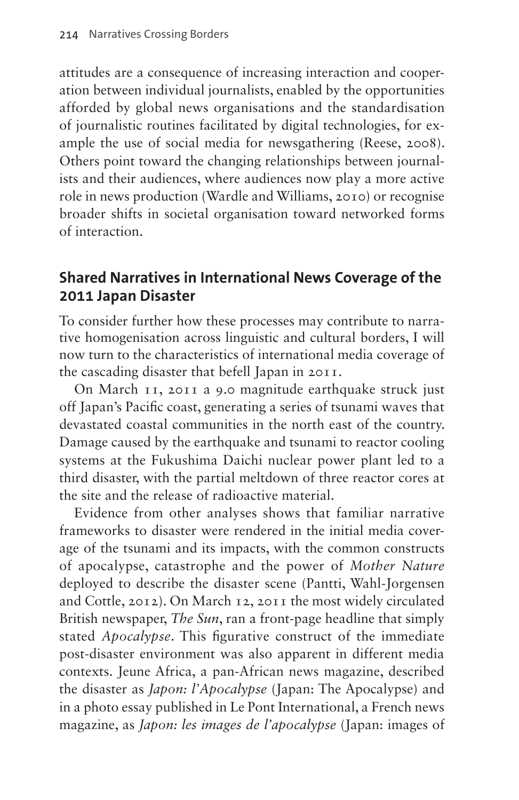attitudes are a consequence of increasing interaction and cooperation between individual journalists, enabled by the opportunities afforded by global news organisations and the standardisation of journalistic routines facilitated by digital technologies, for example the use of social media for newsgathering (Reese, 2008). Others point toward the changing relationships between journalists and their audiences, where audiences now play a more active role in news production (Wardle and Williams, 2010) or recognise broader shifts in societal organisation toward networked forms of interaction.

### **Shared Narratives in International News Coverage of the 2011 Japan Disaster**

To consider further how these processes may contribute to narrative homogenisation across linguistic and cultural borders, I will now turn to the characteristics of international media coverage of the cascading disaster that befell Japan in 2011.

On March 11, 2011 a 9.0 magnitude earthquake struck just off Japan's Pacific coast, generating a series of tsunami waves that devastated coastal communities in the north east of the country. Damage caused by the earthquake and tsunami to reactor cooling systems at the Fukushima Daichi nuclear power plant led to a third disaster, with the partial meltdown of three reactor cores at the site and the release of radioactive material.

Evidence from other analyses shows that familiar narrative frameworks to disaster were rendered in the initial media coverage of the tsunami and its impacts, with the common constructs of apocalypse, catastrophe and the power of *Mother Nature*  deployed to describe the disaster scene (Pantti, Wahl-Jorgensen and Cottle, 2012). On March 12, 2011 the most widely circulated British newspaper, *The Sun*, ran a front-page headline that simply stated *Apocalypse*. This figurative construct of the immediate post-disaster environment was also apparent in different media contexts. Jeune Africa, a pan-African news magazine, described the disaster as *Japon: l'Apocalypse* (Japan: The Apocalypse) and in a photo essay published in Le Pont International, a French news magazine, as *Japon: les images de l'apocalypse* (Japan: images of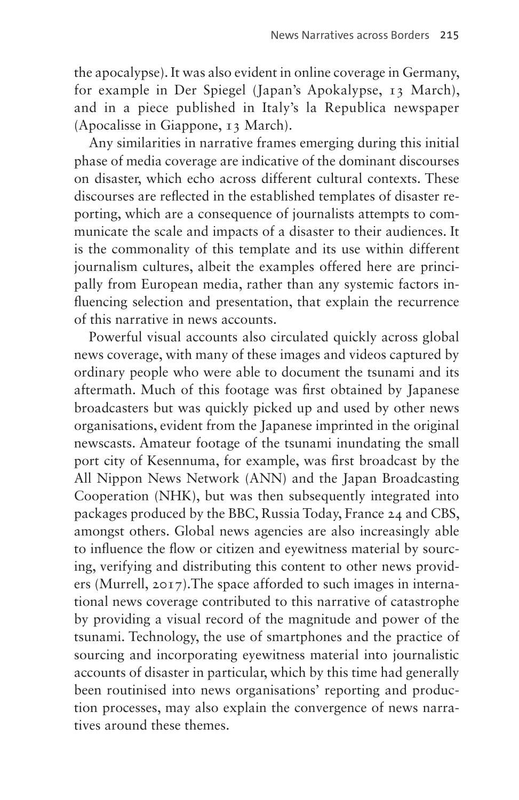the apocalypse). It was also evident in online coverage in Germany, for example in Der Spiegel (Japan's Apokalypse, 13 March), and in a piece published in Italy's la Republica newspaper (Apocalisse in Giappone, 13 March).

Any similarities in narrative frames emerging during this initial phase of media coverage are indicative of the dominant discourses on disaster, which echo across different cultural contexts. These discourses are reflected in the established templates of disaster reporting, which are a consequence of journalists attempts to communicate the scale and impacts of a disaster to their audiences. It is the commonality of this template and its use within different journalism cultures, albeit the examples offered here are principally from European media, rather than any systemic factors influencing selection and presentation, that explain the recurrence of this narrative in news accounts.

Powerful visual accounts also circulated quickly across global news coverage, with many of these images and videos captured by ordinary people who were able to document the tsunami and its aftermath. Much of this footage was first obtained by Japanese broadcasters but was quickly picked up and used by other news organisations, evident from the Japanese imprinted in the original newscasts. Amateur footage of the tsunami inundating the small port city of Kesennuma, for example, was first broadcast by the All Nippon News Network (ANN) and the Japan Broadcasting Cooperation (NHK), but was then subsequently integrated into packages produced by the BBC, Russia Today, France 24 and CBS, amongst others. Global news agencies are also increasingly able to influence the flow or citizen and eyewitness material by sourcing, verifying and distributing this content to other news providers (Murrell, 2017).The space afforded to such images in international news coverage contributed to this narrative of catastrophe by providing a visual record of the magnitude and power of the tsunami. Technology, the use of smartphones and the practice of sourcing and incorporating eyewitness material into journalistic accounts of disaster in particular, which by this time had generally been routinised into news organisations' reporting and production processes, may also explain the convergence of news narratives around these themes.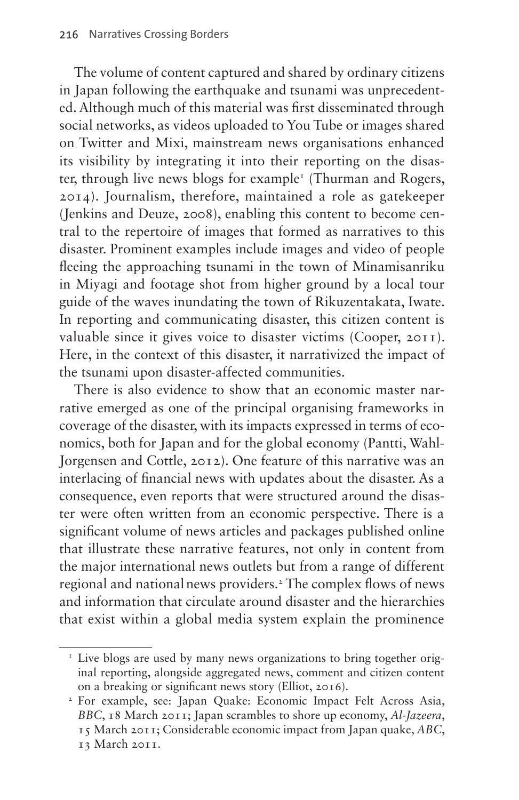The volume of content captured and shared by ordinary citizens in Japan following the earthquake and tsunami was unprecedented. Although much of this material was first disseminated through social networks, as videos uploaded to You Tube or images shared on Twitter and Mixi, mainstream news organisations enhanced its visibility by integrating it into their reporting on the disaster, through live news blogs for example<sup>1</sup> (Thurman and Rogers, 2014). Journalism, therefore, maintained a role as gatekeeper (Jenkins and Deuze, 2008), enabling this content to become central to the repertoire of images that formed as narratives to this disaster. Prominent examples include images and video of people fleeing the approaching tsunami in the town of Minamisanriku in Miyagi and footage shot from higher ground by a local tour guide of the waves inundating the town of Rikuzentakata, Iwate. In reporting and communicating disaster, this citizen content is valuable since it gives voice to disaster victims (Cooper, 2011). Here, in the context of this disaster, it narrativized the impact of the tsunami upon disaster-affected communities.

There is also evidence to show that an economic master narrative emerged as one of the principal organising frameworks in coverage of the disaster, with its impacts expressed in terms of economics, both for Japan and for the global economy (Pantti, Wahl-Jorgensen and Cottle, 2012). One feature of this narrative was an interlacing of financial news with updates about the disaster. As a consequence, even reports that were structured around the disaster were often written from an economic perspective. There is a significant volume of news articles and packages published online that illustrate these narrative features, not only in content from the major international news outlets but from a range of different regional and national news providers.<sup>[2](#page-9-1)</sup> The complex flows of news and information that circulate around disaster and the hierarchies that exist within a global media system explain the prominence

<span id="page-9-0"></span><sup>&</sup>lt;sup>1</sup> Live blogs are used by many news organizations to bring together original reporting, alongside aggregated news, comment and citizen content on a breaking or significant news story (Elliot, 2016).

<span id="page-9-1"></span><sup>2</sup> For example, see: Japan Quake: Economic Impact Felt Across Asia, *BBC*, 18 March 2011; Japan scrambles to shore up economy, *Al-Jazeera*, 15 March 2011; Considerable economic impact from Japan quake, *ABC*, 13 March 2011.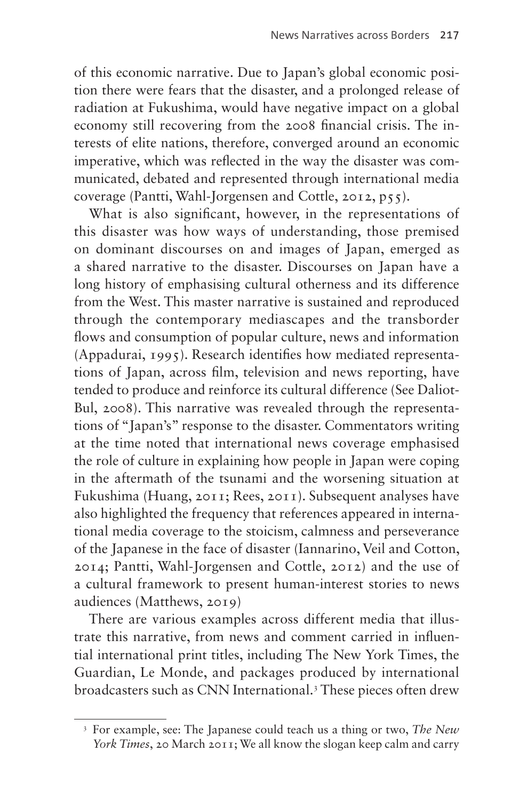of this economic narrative. Due to Japan's global economic position there were fears that the disaster, and a prolonged release of radiation at Fukushima, would have negative impact on a global economy still recovering from the 2008 financial crisis. The interests of elite nations, therefore, converged around an economic imperative, which was reflected in the way the disaster was communicated, debated and represented through international media coverage (Pantti, Wahl-Jorgensen and Cottle, 2012, p55).

What is also significant, however, in the representations of this disaster was how ways of understanding, those premised on dominant discourses on and images of Japan, emerged as a shared narrative to the disaster. Discourses on Japan have a long history of emphasising cultural otherness and its difference from the West. This master narrative is sustained and reproduced through the contemporary mediascapes and the transborder flows and consumption of popular culture, news and information (Appadurai, 1995). Research identifies how mediated representations of Japan, across film, television and news reporting, have tended to produce and reinforce its cultural difference (See Daliot-Bul, 2008). This narrative was revealed through the representations of "Japan's" response to the disaster. Commentators writing at the time noted that international news coverage emphasised the role of culture in explaining how people in Japan were coping in the aftermath of the tsunami and the worsening situation at Fukushima (Huang, 2011; Rees, 2011). Subsequent analyses have also highlighted the frequency that references appeared in international media coverage to the stoicism, calmness and perseverance of the Japanese in the face of disaster (Iannarino, Veil and Cotton, 2014; Pantti, Wahl-Jorgensen and Cottle, 2012) and the use of a cultural framework to present human-interest stories to news audiences (Matthews, 2019)

There are various examples across different media that illustrate this narrative, from news and comment carried in influential international print titles, including The New York Times, the Guardian, Le Monde, and packages produced by international broadcasters such as CNN International.<sup>[3](#page-10-0)</sup> These pieces often drew

<span id="page-10-0"></span><sup>3</sup> For example, see: The Japanese could teach us a thing or two, *The New York Times*, 20 March 2011; We all know the slogan keep calm and carry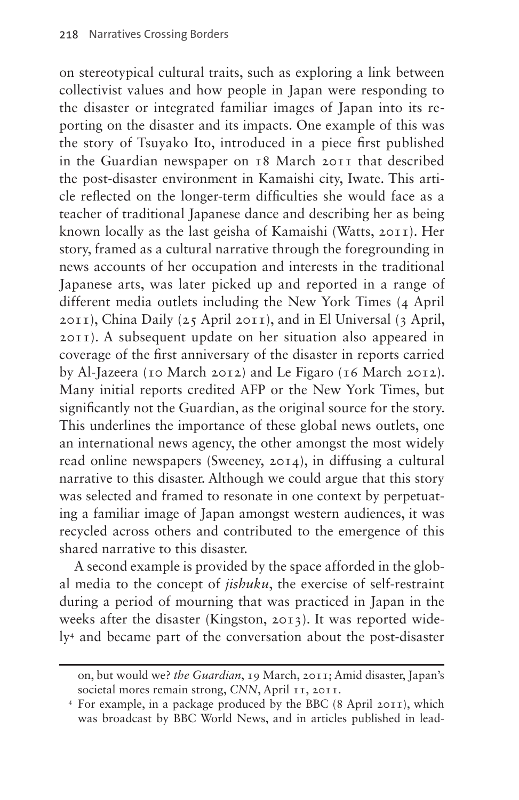on stereotypical cultural traits, such as exploring a link between collectivist values and how people in Japan were responding to the disaster or integrated familiar images of Japan into its reporting on the disaster and its impacts. One example of this was the story of Tsuyako Ito, introduced in a piece first published in the Guardian newspaper on 18 March 2011 that described the post-disaster environment in Kamaishi city, Iwate. This article reflected on the longer-term difficulties she would face as a teacher of traditional Japanese dance and describing her as being known locally as the last geisha of Kamaishi (Watts, 2011). Her story, framed as a cultural narrative through the foregrounding in news accounts of her occupation and interests in the traditional Japanese arts, was later picked up and reported in a range of different media outlets including the New York Times (4 April 2011), China Daily (25 April 2011), and in El Universal (3 April, 2011). A subsequent update on her situation also appeared in coverage of the first anniversary of the disaster in reports carried by Al-Jazeera (10 March 2012) and Le Figaro (16 March 2012). Many initial reports credited AFP or the New York Times, but significantly not the Guardian, as the original source for the story. This underlines the importance of these global news outlets, one an international news agency, the other amongst the most widely read online newspapers (Sweeney, 2014), in diffusing a cultural narrative to this disaster. Although we could argue that this story was selected and framed to resonate in one context by perpetuating a familiar image of Japan amongst western audiences, it was recycled across others and contributed to the emergence of this shared narrative to this disaster.

A second example is provided by the space afforded in the global media to the concept of *jishuku*, the exercise of self-restraint during a period of mourning that was practiced in Japan in the weeks after the disaster (Kingston, 2013). It was reported widely[4](#page-11-0) and became part of the conversation about the post-disaster

on, but would we? *the Guardian*, 19 March, 2011; Amid disaster, Japan's societal mores remain strong, *CNN*, April 11, 2011.

<span id="page-11-0"></span><sup>4</sup> For example, in a package produced by the BBC (8 April 2011), which was broadcast by BBC World News, and in articles published in lead-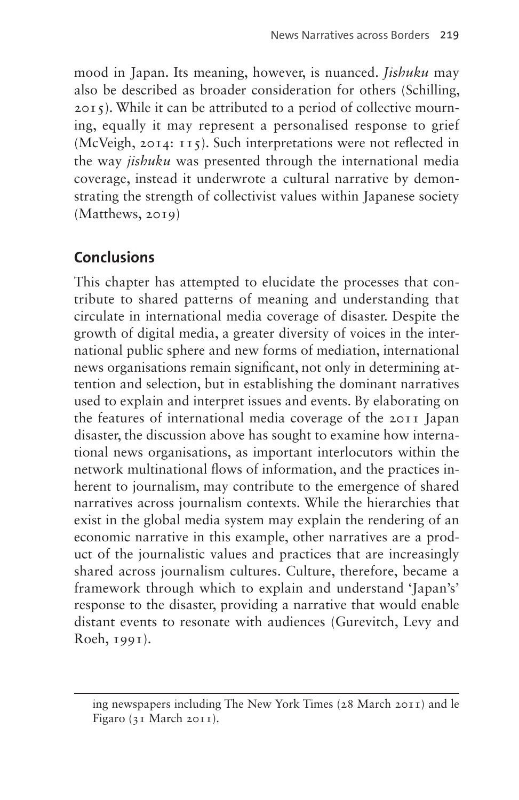mood in Japan. Its meaning, however, is nuanced. *Jishuku* may also be described as broader consideration for others (Schilling, 2015). While it can be attributed to a period of collective mourning, equally it may represent a personalised response to grief (McVeigh, 2014: 115). Such interpretations were not reflected in the way *jishuku* was presented through the international media coverage, instead it underwrote a cultural narrative by demonstrating the strength of collectivist values within Japanese society (Matthews, 2019)

# **Conclusions**

This chapter has attempted to elucidate the processes that contribute to shared patterns of meaning and understanding that circulate in international media coverage of disaster. Despite the growth of digital media, a greater diversity of voices in the international public sphere and new forms of mediation, international news organisations remain significant, not only in determining attention and selection, but in establishing the dominant narratives used to explain and interpret issues and events. By elaborating on the features of international media coverage of the 2011 Japan disaster, the discussion above has sought to examine how international news organisations, as important interlocutors within the network multinational flows of information, and the practices inherent to journalism, may contribute to the emergence of shared narratives across journalism contexts. While the hierarchies that exist in the global media system may explain the rendering of an economic narrative in this example, other narratives are a product of the journalistic values and practices that are increasingly shared across journalism cultures. Culture, therefore, became a framework through which to explain and understand 'Japan's' response to the disaster, providing a narrative that would enable distant events to resonate with audiences (Gurevitch, Levy and Roeh, 1991).

ing newspapers including The New York Times (28 March 2011) and le Figaro (31 March 2011).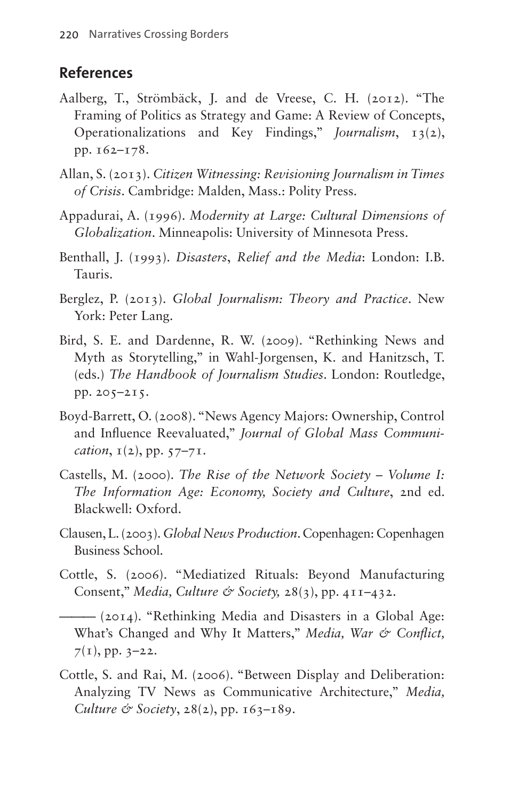#### **References**

- Aalberg, T., Strömbäck, J. and de Vreese, C. H. (2012). "The Framing of Politics as Strategy and Game: A Review of Concepts, Operationalizations and Key Findings," *Journalism*, 13(2), pp. 162–178.
- Allan, S. (2013). *Citizen Witnessing: Revisioning Journalism in Times of Crisis*. Cambridge: Malden, Mass.: Polity Press.
- Appadurai, A. (1996). *Modernity at Large: Cultural Dimensions of Globalization*. Minneapolis: University of Minnesota Press.
- Benthall, J. (1993). *Disasters*, *Relief and the Media*: London: I.B. Tauris.
- Berglez, P. (2013). *Global Journalism: Theory and Practice*. New York: Peter Lang.
- Bird, S. E. and Dardenne, R. W. (2009). "Rethinking News and Myth as Storytelling," in Wahl-Jorgensen, K. and Hanitzsch, T. (eds.) *The Handbook of Journalism Studies*. London: Routledge, pp. 205–215.
- Boyd-Barrett, O. (2008). "News Agency Majors: Ownership, Control and Influence Reevaluated," *Journal of Global Mass Communication*, 1(2), pp. 57–71.
- Castells, M. (2000). *The Rise of the Network Society Volume I: The Information Age: Economy, Society and Culture*, 2nd ed. Blackwell: Oxford.
- Clausen, L. (2003). *Global News Production*. Copenhagen: Copenhagen Business School.
- Cottle, S. (2006). "Mediatized Rituals: Beyond Manufacturing Consent," *Media, Culture & Society,* 28(3), pp. 411–432.
	- ——— (2014). "Rethinking Media and Disasters in a Global Age: What's Changed and Why It Matters," *Media*, War & Conflict,  $7(1)$ , pp. 3–22.
- Cottle, S. and Rai, M. (2006). "Between Display and Deliberation: Analyzing TV News as Communicative Architecture," *Media, Culture & Society*, 28(2), pp. 163–189.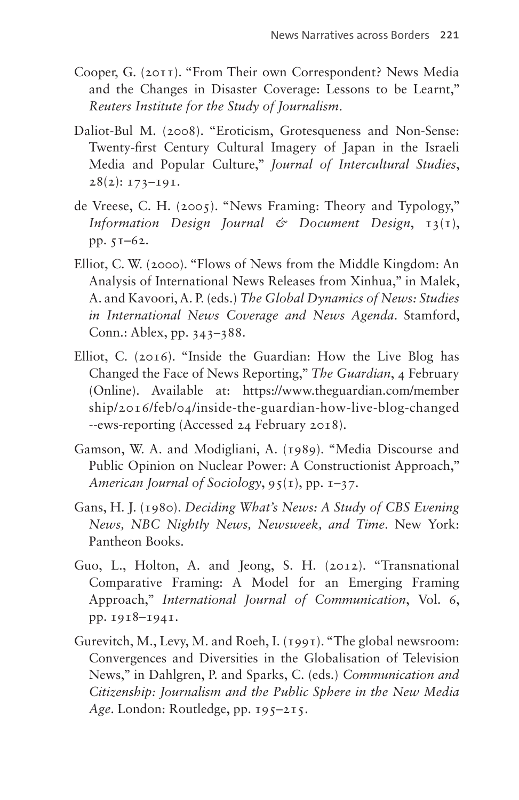- Cooper, G. (2011). "From Their own Correspondent? News Media and the Changes in Disaster Coverage: Lessons to be Learnt," *Reuters Institute for the Study of Journalism*.
- Daliot-Bul M. (2008). "Eroticism, Grotesqueness and Non-Sense: Twenty-first Century Cultural Imagery of Japan in the Israeli Media and Popular Culture," *Journal of Intercultural Studies*,  $28(2)$ : 173-191.
- de Vreese, C. H. (2005). "News Framing: Theory and Typology," *Information Design Journal & Document Design*, 13(1), pp. 51–62.
- Elliot, C. W. (2000). "Flows of News from the Middle Kingdom: An Analysis of International News Releases from Xinhua," in Malek, A. and Kavoori, A. P. (eds.) *The Global Dynamics of News: Studies in International News Coverage and News Agenda*. Stamford, Conn.: Ablex, pp. 343–388.
- Elliot, C. (2016). "Inside the Guardian: How the Live Blog has Changed the Face of News Reporting," *The Guardian*, 4 February (Online). Available at: [https://www.theguardian.com/member](https://www.theguardian.com/‌membership/‌2016/‌feb/‌04/inside-the-guardian-how-live-blog-changed--ews-reporting) [ship/2016/feb/04/inside-the-guardian-how-live-blog-changed](https://www.theguardian.com/‌membership/‌2016/‌feb/‌04/inside-the-guardian-how-live-blog-changed--ews-reporting) [--ews-reporting](https://www.theguardian.com/‌membership/‌2016/‌feb/‌04/inside-the-guardian-how-live-blog-changed--ews-reporting) (Accessed 24 February 2018).
- Gamson, W. A. and Modigliani, A. (1989). "Media Discourse and Public Opinion on Nuclear Power: A Constructionist Approach," *American Journal of Sociology*, 95(1), pp. 1–37.
- Gans, H. J. (1980). *Deciding What's News: A Study of CBS Evening News, NBC Nightly News, Newsweek, and Time*. New York: Pantheon Books.
- Guo, L., Holton, A. and Jeong, S. H. (2012). "Transnational Comparative Framing: A Model for an Emerging Framing Approach," *International Journal of Communication*, Vol. 6, pp. 1918–1941.
- Gurevitch, M., Levy, M. and Roeh, I. (1991). "The global newsroom: Convergences and Diversities in the Globalisation of Television News," in Dahlgren, P. and Sparks, C. (eds.) *Communication and Citizenship: Journalism and the Public Sphere in the New Media*  Age. London: Routledge, pp. 195-215.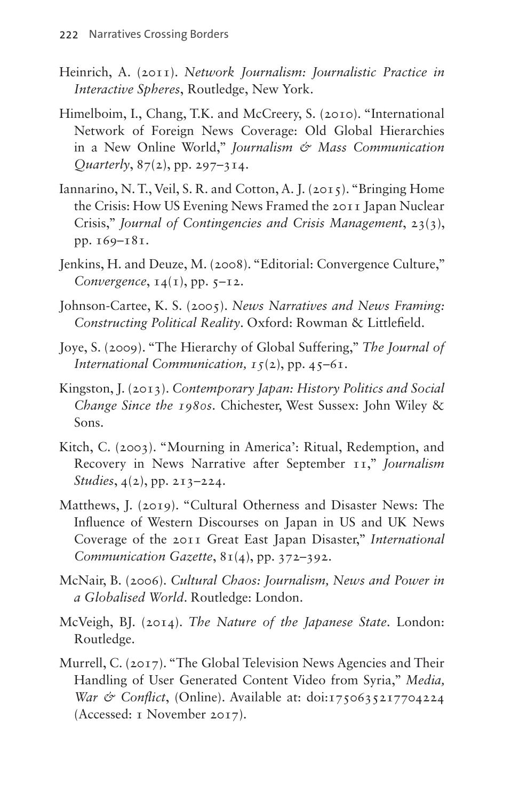- Heinrich, A. (2011). *Network Journalism: Journalistic Practice in Interactive Spheres*, Routledge, New York.
- Himelboim, I., Chang, T.K. and McCreery, S. (2010). "International Network of Foreign News Coverage: Old Global Hierarchies in a New Online World," *Journalism & Mass Communication Quarterly*, 87(2), pp. 297–314.
- Iannarino, N. T., Veil, S. R. and Cotton, A. J. (2015). "Bringing Home the Crisis: How US Evening News Framed the 2011 Japan Nuclear Crisis," *Journal of Contingencies and Crisis Management*, 23(3), pp. 169–181.
- Jenkins, H. and Deuze, M. (2008). "Editorial: Convergence Culture," *Convergence*, 14(1), pp. 5–12.
- Johnson-Cartee, K. S. (2005). *News Narratives and News Framing: Constructing Political Reality*. Oxford: Rowman & Littlefield.
- Joye, S. (2009). "The Hierarchy of Global Suffering," *The Journal of International Communication, 15*(2), pp. 45–61.
- Kingston, J. (2013). *Contemporary Japan: History Politics and Social Change Since the 1980s*. Chichester, West Sussex: John Wiley & Sons.
- Kitch, C. (2003). "Mourning in America': Ritual, Redemption, and Recovery in News Narrative after September 11," *Journalism Studies*, 4(2), pp. 213–224.
- Matthews, J. (2019). "Cultural Otherness and Disaster News: The Influence of Western Discourses on Japan in US and UK News Coverage of the 2011 Great East Japan Disaster," *International Communication Gazette*, 81(4), pp. 372–392.
- McNair, B. (2006). *Cultural Chaos: Journalism, News and Power in a Globalised World*. Routledge: London.
- McVeigh, BJ. (2014). *The Nature of the Japanese State*. London: Routledge.
- Murrell, C. (2017). "The Global Television News Agencies and Their Handling of User Generated Content Video from Syria," *Media, War & Conflict*, (Online). Available at: doi:1750635217704224 (Accessed: 1 November 2017).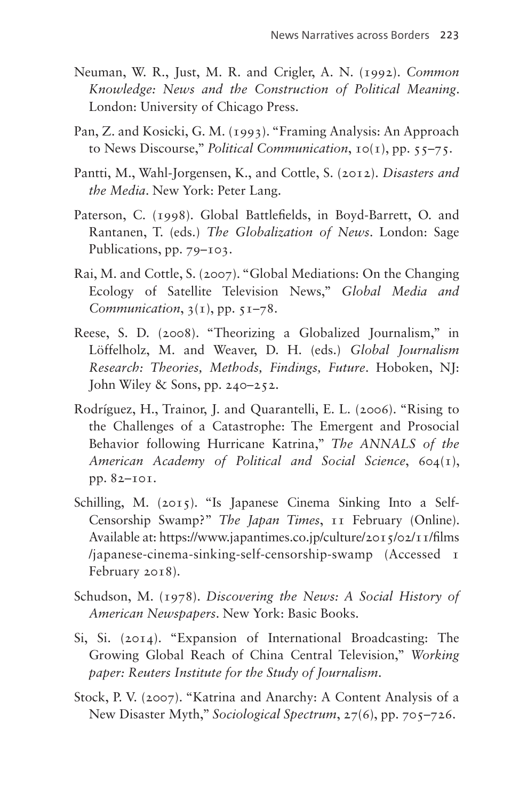- Neuman, W. R., Just, M. R. and Crigler, A. N. (1992). *Common Knowledge: News and the Construction of Political Meaning*. London: University of Chicago Press.
- Pan, Z. and Kosicki, G. M. (1993). "Framing Analysis: An Approach to News Discourse," *Political Communication*, 10(1), pp. 55–75.
- Pantti, M., Wahl-Jorgensen, K., and Cottle, S. (2012). *Disasters and the Media*. New York: Peter Lang.
- Paterson, C. (1998). Global Battlefields, in Boyd-Barrett, O. and Rantanen, T. (eds.) *The Globalization of News*. London: Sage Publications, pp. 79–103.
- Rai, M. and Cottle, S. (2007). "Global Mediations: On the Changing Ecology of Satellite Television News," *Global Media and Communication*, 3(1), pp. 51–78.
- Reese, S. D. (2008). "Theorizing a Globalized Journalism," in Löffelholz, M. and Weaver, D. H. (eds.) *Global Journalism Research: Theories, Methods, Findings, Future*. Hoboken, NJ: John Wiley & Sons, pp. 240–252.
- Rodríguez, H., Trainor, J. and Quarantelli, E. L. (2006). "Rising to the Challenges of a Catastrophe: The Emergent and Prosocial Behavior following Hurricane Katrina," *The ANNALS of the American Academy of Political and Social Science*, 604(1), pp. 82–101.
- Schilling, M. (2015). "Is Japanese Cinema Sinking Into a Self-Censorship Swamp?" *The Japan Times*, 11 February (Online). Available at: [https://www.japantimes.co.jp/culture/2015/02/11/films](https://www.japantimes.co.jp/‌culture/2015/‌02/11/films/‌japanese-‌cinema-sinking-self-censorship-swamp) [/japanese-cinema-sinking-self-censorship-swamp](https://www.japantimes.co.jp/‌culture/2015/‌02/11/films/‌japanese-‌cinema-sinking-self-censorship-swamp) (Accessed 1 February 2018).
- Schudson, M. (1978). *Discovering the News: A Social History of American Newspapers*. New York: Basic Books.
- Si, Si. (2014). "Expansion of International Broadcasting: The Growing Global Reach of China Central Television," *Working paper: Reuters Institute for the Study of Journalism*.
- Stock, P. V. (2007). "Katrina and Anarchy: A Content Analysis of a New Disaster Myth," *Sociological Spectrum*, 27(6), pp. 705–726.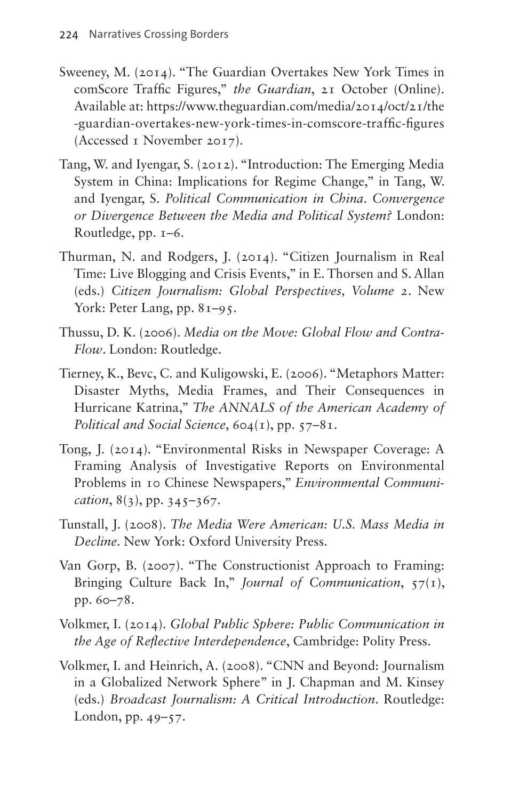- Sweeney, M. (2014). "The Guardian Overtakes New York Times in comScore Traffic Figures," *the Guardian*, 21 October (Online). Available at: [https://www.theguardian.com/media/2014/oct/21/the](https://www.theguardian.com/media/2014/oct/21/the-guardian-overtakes-new-york-times-in-comscore-traffic-figures) [-guardian-overtakes-new-york-times-in-comscore-traffic-figures](https://www.theguardian.com/media/2014/oct/21/the-guardian-overtakes-new-york-times-in-comscore-traffic-figures) (Accessed 1 November 2017).
- Tang, W. and Iyengar, S. (2012). "Introduction: The Emerging Media System in China: Implications for Regime Change," in Tang, W. and Iyengar, S. *Political Communication in China*. *Convergence or Divergence Between the Media and Political System?* London: Routledge, pp. 1–6.
- Thurman, N. and Rodgers, J. (2014). "Citizen Journalism in Real Time: Live Blogging and Crisis Events," in E. Thorsen and S. Allan (eds.) *Citizen Journalism: Global Perspectives, Volume 2*. New York: Peter Lang, pp. 81–95.
- Thussu, D. K. (2006). *Media on the Move: Global Flow and Contra-Flow*. London: Routledge.
- Tierney, K., Bevc, C. and Kuligowski, E. (2006). "Metaphors Matter: Disaster Myths, Media Frames, and Their Consequences in Hurricane Katrina," *The ANNALS of the American Academy of Political and Social Science*, 604(1), pp. 57–81.
- Tong, J. (2014). "Environmental Risks in Newspaper Coverage: A Framing Analysis of Investigative Reports on Environmental Problems in 10 Chinese Newspapers," *Environmental Communication*, 8(3), pp. 345–367.
- Tunstall, J. (2008). *The Media Were American: U.S. Mass Media in Decline*. New York: Oxford University Press.
- Van Gorp, B. (2007). "The Constructionist Approach to Framing: Bringing Culture Back In," *Journal of Communication*, 57(1), pp. 60–78.
- Volkmer, I. (2014). *Global Public Sphere: Public Communication in the Age of Reflective Interdependence*, Cambridge: Polity Press.
- Volkmer, I. and Heinrich, A. (2008). "CNN and Beyond: Journalism in a Globalized Network Sphere" in J. Chapman and M. Kinsey (eds.) *Broadcast Journalism: A Critical Introduction*. Routledge: London, pp. 49–57.